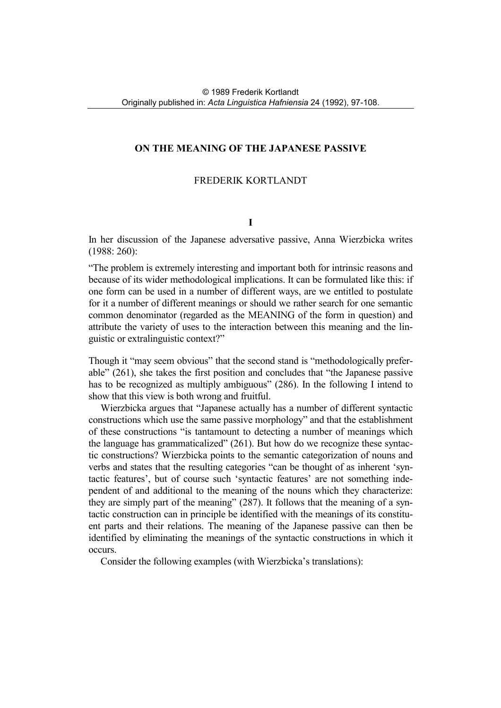# **ON THE MEANING OF THE JAPANESE PASSIVE**

# FREDERIK KORTLANDT

### **I**

In her discussion of the Japanese adversative passive, Anna Wierzbicka writes (1988: 260):

"The problem is extremely interesting and important both for intrinsic reasons and because of its wider methodological implications. It can be formulated like this: if one form can be used in a number of different ways, are we entitled to postulate for it a number of different meanings or should we rather search for one semantic common denominator (regarded as the MEANING of the form in question) and attribute the variety of uses to the interaction between this meaning and the linguistic or extralinguistic context?"

Though it "may seem obvious" that the second stand is "methodologically preferable" (261), she takes the first position and concludes that "the Japanese passive has to be recognized as multiply ambiguous" (286). In the following I intend to show that this view is both wrong and fruitful.

Wierzbicka argues that "Japanese actually has a number of different syntactic constructions which use the same passive morphology" and that the establishment of these constructions "is tantamount to detecting a number of meanings which the language has grammaticalized" (261). But how do we recognize these syntactic constructions? Wierzbicka points to the semantic categorization of nouns and verbs and states that the resulting categories "can be thought of as inherent 'syntactic features', but of course such 'syntactic features' are not something independent of and additional to the meaning of the nouns which they characterize: they are simply part of the meaning" (287). It follows that the meaning of a syntactic construction can in principle be identified with the meanings of its constituent parts and their relations. The meaning of the Japanese passive can then be identified by eliminating the meanings of the syntactic constructions in which it occurs.

Consider the following examples (with Wierzbicka's translations):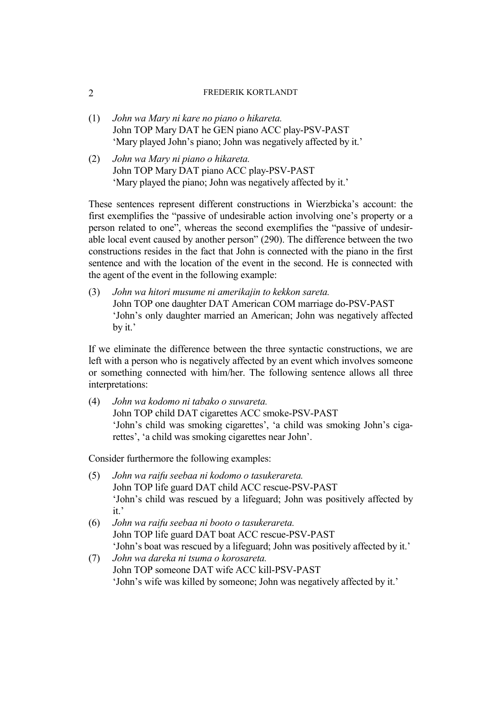- (1) *John wa Mary ni kare no piano o hikareta.*  John TOP Mary DAT he GEN piano ACC play-PSV-PAST 'Mary played John's piano; John was negatively affected by it.'
- (2) *John wa Mary ni piano o hikareta.*  John TOP Mary DAT piano ACC play-PSV-PAST 'Mary played the piano; John was negatively affected by it.'

These sentences represent different constructions in Wierzbicka's account: the first exemplifies the "passive of undesirable action involving one's property or a person related to one", whereas the second exemplifies the "passive of undesirable local event caused by another person" (290). The difference between the two constructions resides in the fact that John is connected with the piano in the first sentence and with the location of the event in the second. He is connected with the agent of the event in the following example:

(3) *John wa hitori musume ni amerikajin to kekkon sareta.*  John TOP one daughter DAT American COM marriage do-PSV-PAST 'John's only daughter married an American; John was negatively affected by it.'

If we eliminate the difference between the three syntactic constructions, we are left with a person who is negatively affected by an event which involves someone or something connected with him/her. The following sentence allows all three interpretations:

(4) *John wa kodomo ni tabako o suwareta.*  John TOP child DAT cigarettes ACC smoke-PSV-PAST 'John's child was smoking cigarettes', 'a child was smoking John's cigarettes', 'a child was smoking cigarettes near John'.

Consider furthermore the following examples:

- (5) *John wa raifu seebaa ni kodomo o tasukerareta.* John TOP life guard DAT child ACC rescue-PSV-PAST 'John's child was rescued by a lifeguard; John was positively affected by it.'
- (6) *John wa raifu seebaa ni booto o tasukerareta.*  John TOP life guard DAT boat ACC rescue-PSV-PAST 'John's boat was rescued by a lifeguard; John was positively affected by it.'
- (7) *John wa dareka ni tsuma o korosareta.*  John TOP someone DAT wife ACC kill-PSV-PAST 'John's wife was killed by someone; John was negatively affected by it.'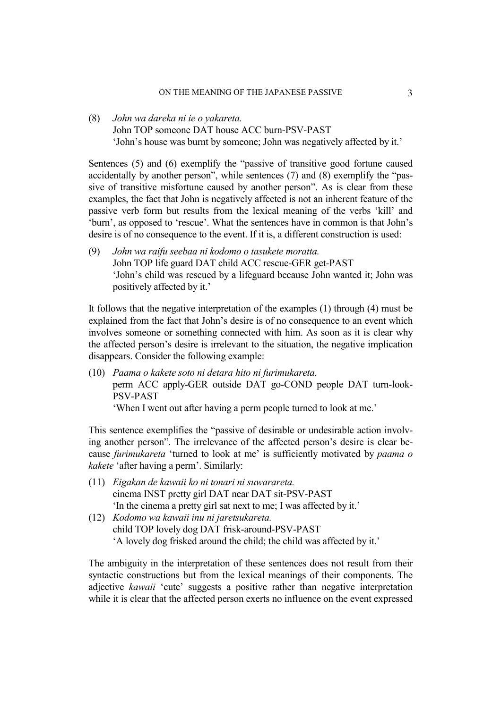(8) *John wa dareka ni ie o yakareta.* John TOP someone DAT house ACC burn-PSV-PAST 'John's house was burnt by someone; John was negatively affected by it.'

Sentences (5) and (6) exemplify the "passive of transitive good fortune caused accidentally by another person", while sentences (7) and (8) exemplify the "passive of transitive misfortune caused by another person". As is clear from these examples, the fact that John is negatively affected is not an inherent feature of the passive verb form but results from the lexical meaning of the verbs 'kill' and 'burn', as opposed to 'rescue'. What the sentences have in common is that John's desire is of no consequence to the event. If it is, a different construction is used:

(9) *John wa raifu seebaa ni kodomo o tasukete moratta.*  John TOP life guard DAT child ACC rescue-GER get-PAST 'John's child was rescued by a lifeguard because John wanted it; John was positively affected by it.'

It follows that the negative interpretation of the examples (1) through (4) must be explained from the fact that John's desire is of no consequence to an event which involves someone or something connected with him. As soon as it is clear why the affected person's desire is irrelevant to the situation, the negative implication disappears. Consider the following example:

(10) *Paama o kakete soto ni detara hito ni furimukareta.*  perm ACC apply-GER outside DAT go-COND people DAT turn-look-PSV-PAST

'When I went out after having a perm people turned to look at me.'

This sentence exemplifies the "passive of desirable or undesirable action involving another person". The irrelevance of the affected person's desire is clear because *furimukareta* 'turned to look at me' is sufficiently motivated by *paama o kakete* 'after having a perm'. Similarly:

- (11) *Eigakan de kawaii ko ni tonari ni suwarareta.*  cinema INST pretty girl DAT near DAT sit-PSV-PAST 'In the cinema a pretty girl sat next to me; I was affected by it.'
- (12) *Kodomo wa kawaii inu ni jaretsukareta.* child TOP lovely dog DAT frisk-around-PSV-PAST 'A lovely dog frisked around the child; the child was affected by it.'

The ambiguity in the interpretation of these sentences does not result from their syntactic constructions but from the lexical meanings of their components. The adjective *kawaii* 'cute' suggests a positive rather than negative interpretation while it is clear that the affected person exerts no influence on the event expressed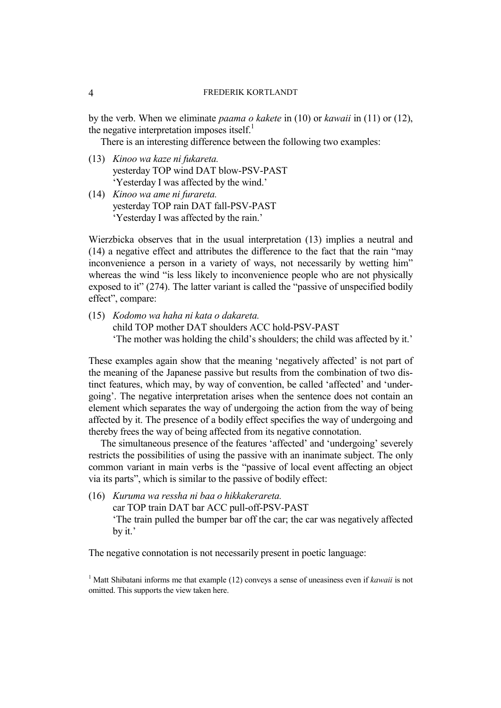by the verb. When we eliminate *paama o kakete* in (10) or *kawaii* in (11) or (12), the negative interpretation imposes itself.<sup>1</sup>

There is an interesting difference bet[we](#page-3-0)en the following two examples:

- (13) *Kinoo wa kaze ni fukareta.*  yesterday TOP wind DAT blow-PSV-PAST 'Yesterday I was affected by the wind.'
- (14) *Kinoo wa ame ni furareta.*  yesterday TOP rain DAT fall-PSV-PAST 'Yesterday I was affected by the rain.'

Wierzbicka observes that in the usual interpretation (13) implies a neutral and (14) a negative effect and attributes the difference to the fact that the rain "may inconvenience a person in a variety of ways, not necessarily by wetting him" whereas the wind "is less likely to inconvenience people who are not physically exposed to it" (274). The latter variant is called the "passive of unspecified bodily effect", compare:

(15) *Kodomo wa haha ni kata o dakareta.*  child TOP mother DAT shoulders ACC hold-PSV-PAST 'The mother was holding the child's shoulders; the child was affected by it.'

These examples again show that the meaning 'negatively affected' is not part of the meaning of the Japanese passive but results from the combination of two distinct features, which may, by way of convention, be called 'affected' and 'undergoing'. The negative interpretation arises when the sentence does not contain an element which separates the way of undergoing the action from the way of being affected by it. The presence of a bodily effect specifies the way of undergoing and thereby frees the way of being affected from its negative connotation.

The simultaneous presence of the features 'affected' and 'undergoing' severely restricts the possibilities of using the passive with an inanimate subject. The only common variant in main verbs is the "passive of local event affecting an object via its parts", which is similar to the passive of bodily effect:

(16) *Kuruma wa ressha ni baa o hikkakerareta.*  car TOP train DAT bar ACC pull-off-PSV-PAST 'The train pulled the bumper bar off the car; the car was negatively affected by it.'

The negative connotation is not necessarily present in poetic language:

<span id="page-3-0"></span><sup>1</sup> Matt Shibatani informs me that example (12) conveys a sense of uneasiness even if *kawaii* is not omitted. This supports the view taken here.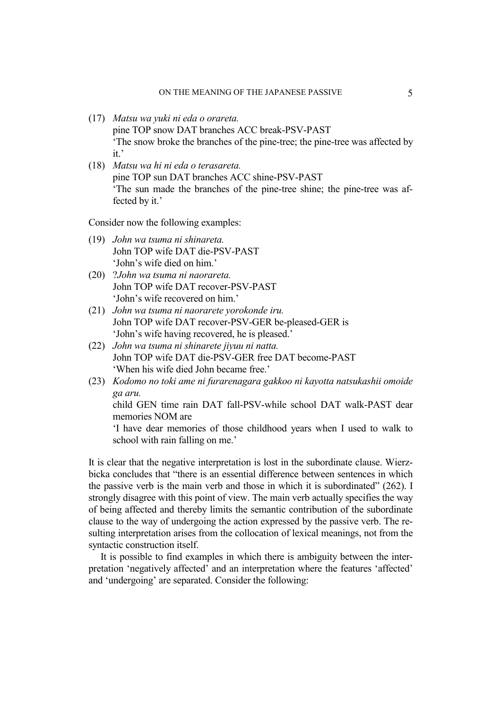- (17) *Matsu wa yuki ni eda o orareta.*  pine TOP snow DAT branches ACC break-PSV-PAST 'The snow broke the branches of the pine-tree; the pine-tree was affected by it,
- (18) *Matsu wa hi ni eda o terasareta.*  pine TOP sun DAT branches ACC shine-PSV-PAST 'The sun made the branches of the pine-tree shine; the pine-tree was affected by it.'

Consider now the following examples:

- (19) *John wa tsuma ni shinareta.*  John TOP wife DAT die-PSV-PAST 'John's wife died on him.'
- (20) ?*John wa tsuma ni naorareta.*  John TOP wife DAT recover-PSV-PAST 'John's wife recovered on him.'
- (21) *John wa tsuma ni naorarete yorokonde iru.*  John TOP wife DAT recover-PSV-GER be-pleased-GER is 'John's wife having recovered, he is pleased.'
- (22) *John wa tsuma ni shinarete jiyuu ni natta.*  John TOP wife DAT die-PSV-GER free DAT become-PAST 'When his wife died John became free.'
- (23) *Kodomo no toki ame ni furarenagara gakkoo ni kayotta natsukashii omoide ga aru.*

child GEN time rain DAT fall-PSV-while school DAT walk-PAST dear memories NOM are

'I have dear memories of those childhood years when I used to walk to school with rain falling on me.'

It is clear that the negative interpretation is lost in the subordinate clause. Wierzbicka concludes that "there is an essential difference between sentences in which the passive verb is the main verb and those in which it is subordinated" (262). I strongly disagree with this point of view. The main verb actually specifies the way of being affected and thereby limits the semantic contribution of the subordinate clause to the way of undergoing the action expressed by the passive verb. The resulting interpretation arises from the collocation of lexical meanings, not from the syntactic construction itself.

It is possible to find examples in which there is ambiguity between the interpretation 'negatively affected' and an interpretation where the features 'affected' and 'undergoing' are separated. Consider the following: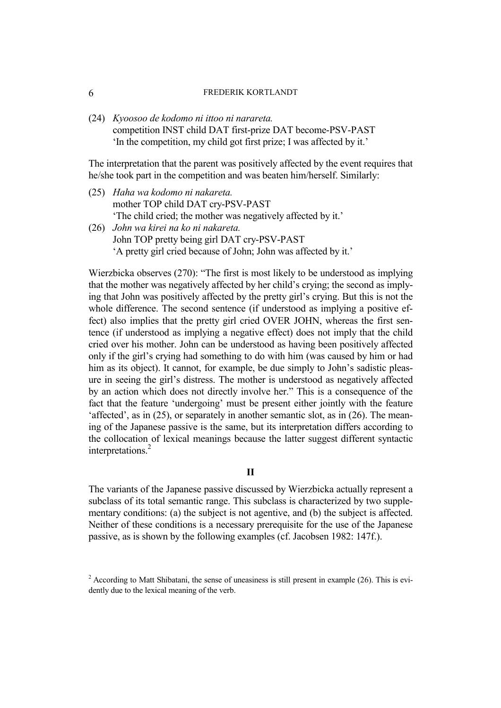(24) *Kyoosoo de kodomo ni ittoo ni narareta.*  competition INST child DAT first-prize DAT become-PSV-PAST 'In the competition, my child got first prize; I was affected by it.'

The interpretation that the parent was positively affected by the event requires that he/she took part in the competition and was beaten him/herself. Similarly:

(25) *Haha wa kodomo ni nakareta.*  mother TOP child DAT cry-PSV-PAST 'The child cried; the mother was negatively affected by it.' (26) *John wa kirei na ko ni nakareta.*  John TOP pretty being girl DAT cry-PSV-PAST 'A pretty girl cried because of John; John was affected by it.'

Wierzbicka observes (270): "The first is most likely to be understood as implying that the mother was negatively affected by her child's crying; the second as implying that John was positively affected by the pretty girl's crying. But this is not the whole difference. The second sentence (if understood as implying a positive effect) also implies that the pretty girl cried OVER JOHN, whereas the first sentence (if understood as implying a negative effect) does not imply that the child cried over his mother. John can be understood as having been positively affected only if the girl's crying had something to do with him (was caused by him or had him as its object). It cannot, for example, be due simply to John's sadistic pleasure in seeing the girl's distress. The mother is understood as negatively affected by an action which does not directly involve her." This is a consequence of the fact that the feature 'undergoing' must be present either jointly with the feature 'affected', as in (25), or separately in another semantic slot, as in (26). The meaning of the Japanese passive is the same, but its interpretation differs according to the collocation of lexical meanings because the latter suggest different syntactic interpretations.[2](#page-5-0)

# **II**

The variants of the Japanese passive discussed by Wierzbicka actually represent a subclass of its total semantic range. This subclass is characterized by two supplementary conditions: (a) the subject is not agentive, and (b) the subject is affected. Neither of these conditions is a necessary prerequisite for the use of the Japanese passive, as is shown by the following examples (cf. Jacobsen 1982: 147f.).

<span id="page-5-0"></span> $2^{2}$  According to Matt Shibatani, the sense of uneasiness is still present in example (26). This is evidently due to the lexical meaning of the verb.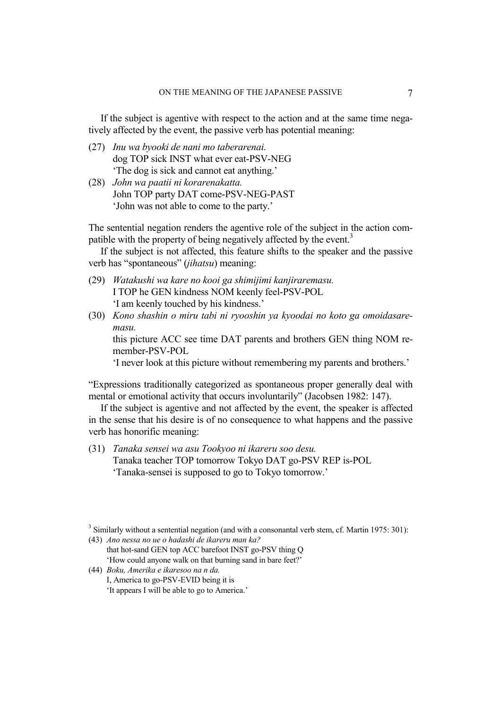If the subject is agentive with respect to the action and at the same time negatively affected by the event, the passive verb has potential meaning:

- (27) *Inu wa byooki de nani mo taberarenai.*  dog TOP sick INST what ever eat-PSV-NEG 'The dog is sick and cannot eat anything.'
- (28) *John wa paatii ni korarenakatta.*  John TOP party DAT come-PSV-NEG-PAST 'John was not able to come to the party.'

The sentential negation renders the agentive role of the subject in the action com-patible with the property of being negatively affected by the event.<sup>[3](#page-6-0)</sup>

If the subject is not affected, this feature shifts to the speaker and the passive verb has "spontaneous" (*jihatsu*) meaning:

- (29) *Watakushi wa kare no kooi ga shimijimi kanjiraremasu.*  I TOP he GEN kindness NOM keenly feel-PSV-POL 'I am keenly touched by his kindness.'
- (30) *Kono shashin o miru tabi ni ryooshin ya kyoodai no koto ga omoidasaremasu.*

this picture ACC see time DAT parents and brothers GEN thing NOM remember-PSV-POL

'I never look at this picture without remembering my parents and brothers.'

"Expressions traditionally categorized as spontaneous proper generally deal with mental or emotional activity that occurs involuntarily" (Jacobsen 1982: 147).

If the subject is agentive and not affected by the event, the speaker is affected in the sense that his desire is of no consequence to what happens and the passive verb has honorific meaning:

(31) *Tanaka sensei wa asu Tookyoo ni ikareru soo desu.*  Tanaka teacher TOP tomorrow Tokyo DAT go-PSV REP is-POL 'Tanaka-sensei is supposed to go to Tokyo tomorrow.'

- that hot-sand GEN top ACC barefoot INST go-PSV thing Q 'How could anyone walk on that burning sand in bare feet?'
- (44) *Boku, Amerika e ikaresoo na n da.*  I, America to go-PSV-EVID being it is 'It appears I will be able to go to America.'

<span id="page-6-0"></span> $3$  Similarly without a sentential negation (and with a consonantal verb stem, cf. Martin 1975: 301):

<sup>(43)</sup> *Ano nessa no ue o hadashi de ikareru man ka?*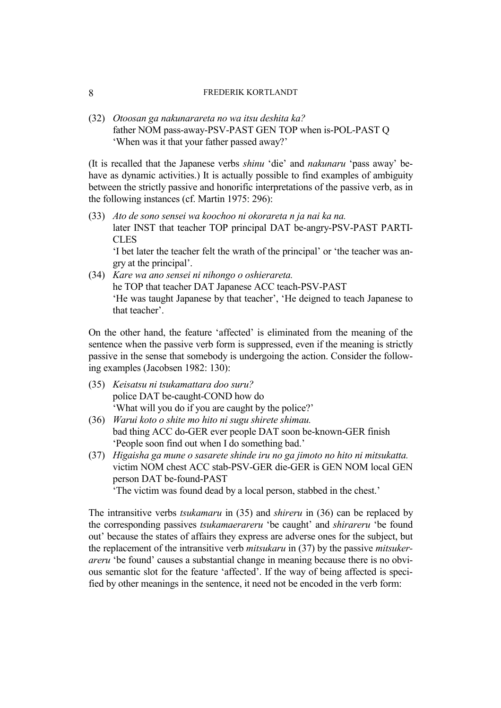(32) *Otoosan ga nakunarareta no wa itsu deshita ka?*  father NOM pass-away-PSV-PAST GEN TOP when is-POL-PAST Q 'When was it that your father passed away?'

(It is recalled that the Japanese verbs *shinu* 'die' and *nakunaru* 'pass away' behave as dynamic activities.) It is actually possible to find examples of ambiguity between the strictly passive and honorific interpretations of the passive verb, as in the following instances (cf. Martin 1975: 296):

(33) *Ato de sono sensei wa koochoo ni okorareta n ja nai ka na.*  later INST that teacher TOP principal DAT be-angry-PSV-PAST PARTI-CLES

'I bet later the teacher felt the wrath of the principal' or 'the teacher was angry at the principal'.

(34) *Kare wa ano sensei ni nihongo o oshierareta.*  he TOP that teacher DAT Japanese ACC teach-PSV-PAST 'He was taught Japanese by that teacher', 'He deigned to teach Japanese to that teacher'.

On the other hand, the feature 'affected' is eliminated from the meaning of the sentence when the passive verb form is suppressed, even if the meaning is strictly passive in the sense that somebody is undergoing the action. Consider the following examples (Jacobsen 1982: 130):

- (35) *Keisatsu ni tsukamattara doo suru?*  police DAT be-caught-COND how do 'What will you do if you are caught by the police?'
- (36) *Warui koto o shite mo hito ni sugu shirete shimau.*  bad thing ACC do-GER ever people DAT soon be-known-GER finish 'People soon find out when I do something bad.'
- (37) *Higaisha ga mune o sasarete shinde iru no ga jimoto no hito ni mitsukatta.*  victim NOM chest ACC stab-PSV-GER die-GER is GEN NOM local GEN person DAT be-found-PAST

'The victim was found dead by a local person, stabbed in the chest.'

The intransitive verbs *tsukamaru* in (35) and *shireru* in (36) can be replaced by the corresponding passives *tsukamaerareru* 'be caught' and *shirareru* 'be found out' because the states of affairs they express are adverse ones for the subject, but the replacement of the intransitive verb *mitsukaru* in (37) by the passive *mitsukerareru* 'be found' causes a substantial change in meaning because there is no obvious semantic slot for the feature 'affected'. If the way of being affected is specified by other meanings in the sentence, it need not be encoded in the verb form: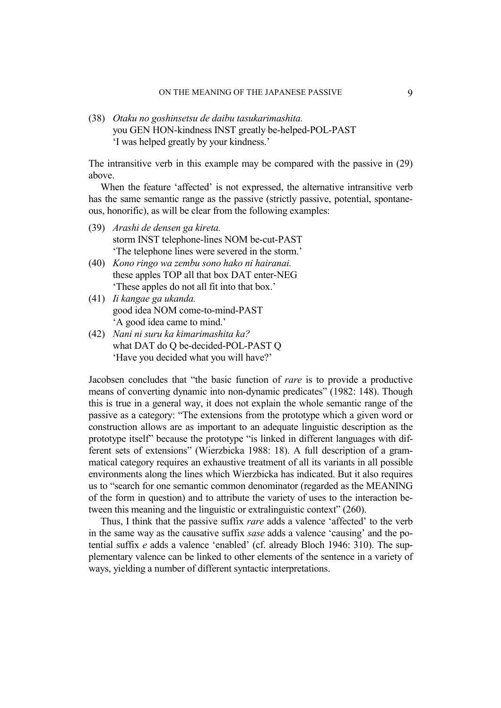(38) *Otaku no goshinsetsu de daibu tasukarimashita.*  you GEN HON-kindness INST greatly be-helped-POL-PAST 'I was helped greatly by your kindness.'

The intransitive verb in this example may be compared with the passive in (29) above.

When the feature 'affected' is not expressed, the alternative intransitive verb has the same semantic range as the passive (strictly passive, potential, spontaneous, honorific), as will be clear from the following examples:

- (39) *Arashi de densen ga kireta.* storm INST telephone-lines NOM be-cut-PAST 'The telephone lines were severed in the storm.'
- (40) *Kono ringo wa zembu sono hako ni hairanai.*  these apples TOP all that box DAT enter-NEG 'These apples do not all fit into that box.'
- (41) *Ii kangae ga ukanda.*  good idea NOM come-to-mind-PAST 'A good idea came to mind.'
- (42) *Nani ni suru ka kimarimashita ka?*  what DAT do O be-decided-POL-PAST O 'Have you decided what you will have?'

Jacobsen concludes that "the basic function of *rare* is to provide a productive means of converting dynamic into non-dynamic predicates" (1982: 148). Though this is true in a general way, it does not explain the whole semantic range of the passive as a category: "The extensions from the prototype which a given word or construction allows are as important to an adequate linguistic description as the prototype itself" because the prototype "is linked in different languages with different sets of extensions" (Wierzbicka 1988: 18). A full description of a grammatical category requires an exhaustive treatment of all its variants in all possible environments along the lines which Wierzbicka has indicated. But it also requires us to "search for one semantic common denominator (regarded as the MEANING of the form in question) and to attribute the variety of uses to the interaction between this meaning and the linguistic or extralinguistic context" (260).

Thus, I think that the passive suffix *rare* adds a valence 'affected' to the verb in the same way as the causative suffix *sase* adds a valence 'causing' and the potential suffix *e* adds a valence 'enabled' (cf. already Bloch 1946: 310). The supplementary valence can be linked to other elements of the sentence in a variety of ways, yielding a number of different syntactic interpretations.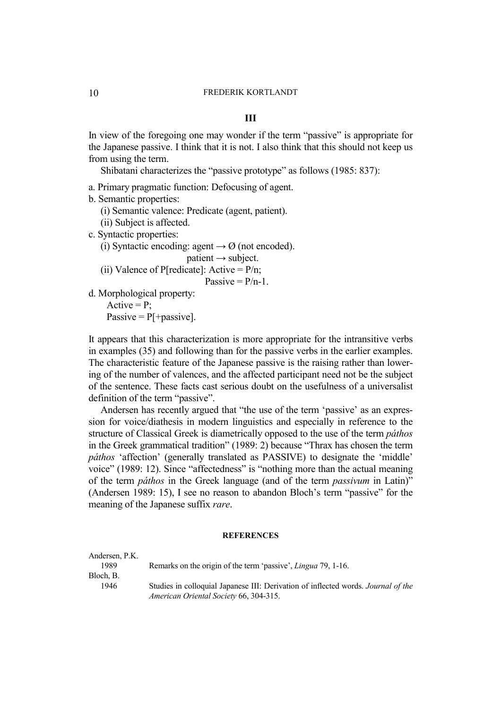### **III**

In view of the foregoing one may wonder if the term "passive" is appropriate for the Japanese passive. I think that it is not. I also think that this should not keep us from using the term.

Shibatani characterizes the "passive prototype" as follows (1985: 837):

a. Primary pragmatic function: Defocusing of agent.

b. Semantic properties:

(i) Semantic valence: Predicate (agent, patient).

(ii) Subject is affected.

c. Syntactic properties:

(i) Syntactic encoding: agent  $\rightarrow \emptyset$  (not encoded).

 $\text{patient} \rightarrow \text{subject}$ .

(ii) Valence of P[redicate]: Active =  $P/n$ ;

$$
Passive = P/n-1.
$$

d. Morphological property: Active  $= P$ ; Passive  $= P[$  + passive].

meaning of the Japanese suffix *rare*.

It appears that this characterization is more appropriate for the intransitive verbs in examples (35) and following than for the passive verbs in the earlier examples. The characteristic feature of the Japanese passive is the raising rather than lowering of the number of valences, and the affected participant need not be the subject of the sentence. These facts cast serious doubt on the usefulness of a universalist

definition of the term "passive". Andersen has recently argued that "the use of the term 'passive' as an expression for voice/diathesis in modern linguistics and especially in reference to the structure of Classical Greek is diametrically opposed to the use of the term *páthos*  in the Greek grammatical tradition" (1989: 2) because "Thrax has chosen the term *páthos* 'affection' (generally translated as PASSIVE) to designate the 'middle' voice" (1989: 12). Since "affectedness" is "nothing more than the actual meaning of the term *páthos* in the Greek language (and of the term *passivum* in Latin)" (Andersen 1989: 15), I see no reason to abandon Bloch's term "passive" for the

#### **REFERENCES**

Andersen, P.K. 1989 Remarks on the origin of the term 'passive', *Lingua* 79, 1-16. Bloch, B. 1946 Studies in colloquial Japanese III: Derivation of inflected words. *Journal of the American Oriental Society* 66, 304-315.